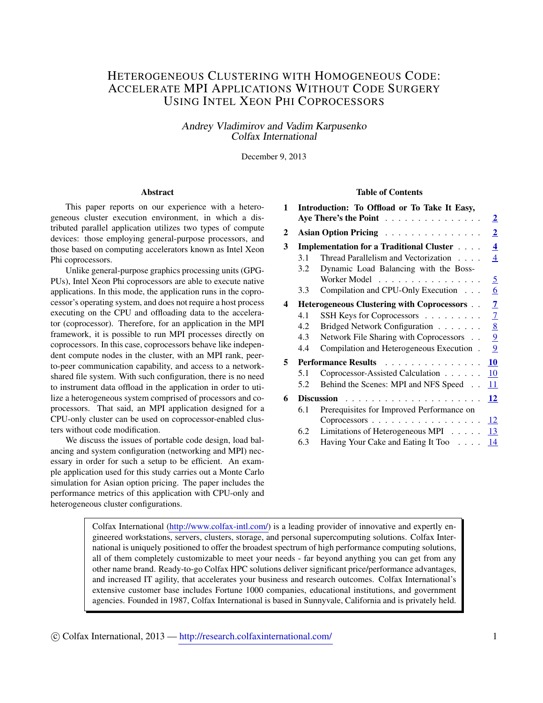# HETEROGENEOUS CLUSTERING WITH HOMOGENEOUS CODE: ACCELERATE MPI APPLICATIONS WITHOUT CODE SURGERY USING INTEL XEON PHI COPROCESSORS

Andrey Vladimirov and Vadim Karpusenko Colfax International

December 9, 2013

#### Abstract

This paper reports on our experience with a heterogeneous cluster execution environment, in which a distributed parallel application utilizes two types of compute devices: those employing general-purpose processors, and those based on computing accelerators known as Intel Xeon Phi coprocessors.

Unlike general-purpose graphics processing units (GPG-PUs), Intel Xeon Phi coprocessors are able to execute native applications. In this mode, the application runs in the coprocessor's operating system, and does not require a host process executing on the CPU and offloading data to the accelerator (coprocessor). Therefore, for an application in the MPI framework, it is possible to run MPI processes directly on coprocessors. In this case, coprocessors behave like independent compute nodes in the cluster, with an MPI rank, peerto-peer communication capability, and access to a networkshared file system. With such configuration, there is no need to instrument data offload in the application in order to utilize a heterogeneous system comprised of processors and coprocessors. That said, an MPI application designed for a CPU-only cluster can be used on coprocessor-enabled clusters without code modification.

We discuss the issues of portable code design, load balancing and system configuration (networking and MPI) necessary in order for such a setup to be efficient. An example application used for this study carries out a Monte Carlo simulation for Asian option pricing. The paper includes the performance metrics of this application with CPU-only and heterogeneous cluster configurations.

#### Table of Contents

| 1            | Introduction: To Offload or To Take It Easy,<br>Aye There's the Point<br>Asian Option Pricing |                                                  | $\overline{\mathbf{2}}$ |
|--------------|-----------------------------------------------------------------------------------------------|--------------------------------------------------|-------------------------|
| $\mathbf{2}$ |                                                                                               |                                                  | $\overline{2}$          |
| 3            |                                                                                               | <b>Implementation for a Traditional Cluster </b> | $\overline{\mathbf{4}}$ |
|              | 3.1                                                                                           | Thread Parallelism and Vectorization             | $\overline{4}$          |
|              | 3.2                                                                                           | Dynamic Load Balancing with the Boss-            |                         |
|              |                                                                                               | Worker Model                                     | 5                       |
|              | 3.3                                                                                           | Compilation and CPU-Only Execution               | 6                       |
| 4            | Heterogeneous Clustering with Coprocessors                                                    |                                                  | 7                       |
|              | 4.1                                                                                           | SSH Keys for Coprocessors                        | 7                       |
|              | 4.2                                                                                           | Bridged Network Configuration                    | 8                       |
|              | 4.3                                                                                           | Network File Sharing with Coprocessors           | 9                       |
|              | 4.4                                                                                           | Compilation and Heterogeneous Execution.         | 9                       |
| 5.           | <b>Performance Results</b>                                                                    |                                                  | 10                      |
|              | 5.1                                                                                           | Coprocessor-Assisted Calculation                 | 10                      |
|              | 5.2                                                                                           | Behind the Scenes: MPI and NFS Speed             | 11                      |
| 6            |                                                                                               |                                                  | 12                      |
|              | 6.1                                                                                           | Prerequisites for Improved Performance on        |                         |
|              |                                                                                               | Coprocessors                                     | 12                      |
|              | 6.2                                                                                           | Limitations of Heterogeneous MPI                 | 13                      |
|              | 6.3                                                                                           | Having Your Cake and Eating It Too               | 14                      |

Colfax International [\(http://www.colfax-intl.com/\)](http://www.colfax-intl.com) is a leading provider of innovative and expertly engineered workstations, servers, clusters, storage, and personal supercomputing solutions. Colfax International is uniquely positioned to offer the broadest spectrum of high performance computing solutions, all of them completely customizable to meet your needs - far beyond anything you can get from any other name brand. Ready-to-go Colfax HPC solutions deliver significant price/performance advantages, and increased IT agility, that accelerates your business and research outcomes. Colfax International's extensive customer base includes Fortune 1000 companies, educational institutions, and government agencies. Founded in 1987, Colfax International is based in Sunnyvale, California and is privately held.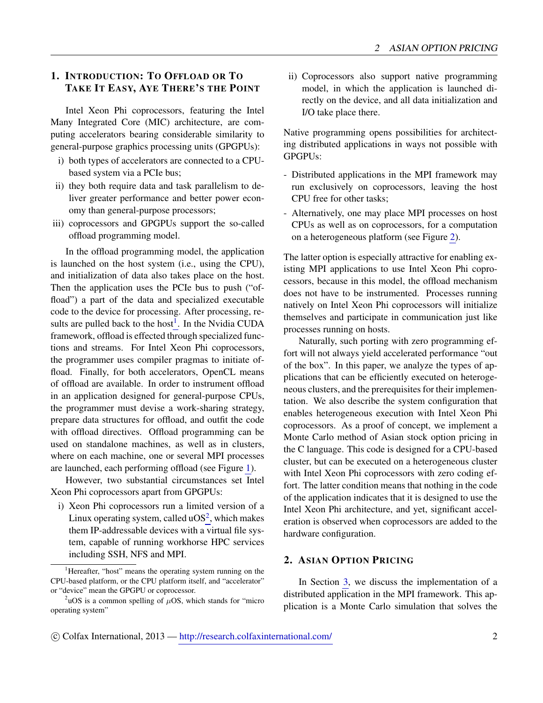# <span id="page-1-0"></span>1. INTRODUCTION: TO OFFLOAD OR TO TAKE IT EASY, AYE THERE'S THE POINT

Intel Xeon Phi coprocessors, featuring the Intel Many Integrated Core (MIC) architecture, are computing accelerators bearing considerable similarity to general-purpose graphics processing units (GPGPUs):

- i) both types of accelerators are connected to a CPUbased system via a PCIe bus;
- ii) they both require data and task parallelism to deliver greater performance and better power economy than general-purpose processors;
- iii) coprocessors and GPGPUs support the so-called offload programming model.

In the offload programming model, the application is launched on the host system (i.e., using the CPU), and initialization of data also takes place on the host. Then the application uses the PCIe bus to push ("offload") a part of the data and specialized executable code to the device for processing. After processing, results are pulled back to the host $<sup>1</sup>$  $<sup>1</sup>$  $<sup>1</sup>$ . In the Nvidia CUDA</sup> framework, offload is effected through specialized functions and streams. For Intel Xeon Phi coprocessors, the programmer uses compiler pragmas to initiate offload. Finally, for both accelerators, OpenCL means of offload are available. In order to instrument offload in an application designed for general-purpose CPUs, the programmer must devise a work-sharing strategy, prepare data structures for offload, and outfit the code with offload directives. Offload programming can be used on standalone machines, as well as in clusters, where on each machine, one or several MPI processes are launched, each performing offload (see Figure [1\)](#page-2-0).

However, two substantial circumstances set Intel Xeon Phi coprocessors apart from GPGPUs:

i) Xeon Phi coprocessors run a limited version of a Linux operating system, called  $\text{uOS}^2$  $\text{uOS}^2$ , which makes them IP-addressable devices with a virtual file system, capable of running workhorse HPC services including SSH, NFS and MPI.

ii) Coprocessors also support native programming model, in which the application is launched directly on the device, and all data initialization and I/O take place there.

Native programming opens possibilities for architecting distributed applications in ways not possible with GPGPUs:

- Distributed applications in the MPI framework may run exclusively on coprocessors, leaving the host CPU free for other tasks;
- Alternatively, one may place MPI processes on host CPUs as well as on coprocessors, for a computation on a heterogeneous platform (see Figure [2\)](#page-2-1).

The latter option is especially attractive for enabling existing MPI applications to use Intel Xeon Phi coprocessors, because in this model, the offload mechanism does not have to be instrumented. Processes running natively on Intel Xeon Phi coprocessors will initialize themselves and participate in communication just like processes running on hosts.

Naturally, such porting with zero programming effort will not always yield accelerated performance "out of the box". In this paper, we analyze the types of applications that can be efficiently executed on heterogeneous clusters, and the prerequisites for their implementation. We also describe the system configuration that enables heterogeneous execution with Intel Xeon Phi coprocessors. As a proof of concept, we implement a Monte Carlo method of Asian stock option pricing in the C language. This code is designed for a CPU-based cluster, but can be executed on a heterogeneous cluster with Intel Xeon Phi coprocessors with zero coding effort. The latter condition means that nothing in the code of the application indicates that it is designed to use the Intel Xeon Phi architecture, and yet, significant acceleration is observed when coprocessors are added to the hardware configuration.

### <span id="page-1-1"></span>2. ASIAN OPTION PRICING

In Section [3,](#page-3-0) we discuss the implementation of a distributed application in the MPI framework. This application is a Monte Carlo simulation that solves the

<span id="page-1-2"></span><sup>&</sup>lt;sup>1</sup>Hereafter, "host" means the operating system running on the CPU-based platform, or the CPU platform itself, and "accelerator" or "device" mean the GPGPU or coprocessor.

<span id="page-1-3"></span> $2uOS$  is a common spelling of  $\mu OS$ , which stands for "micro" operating system"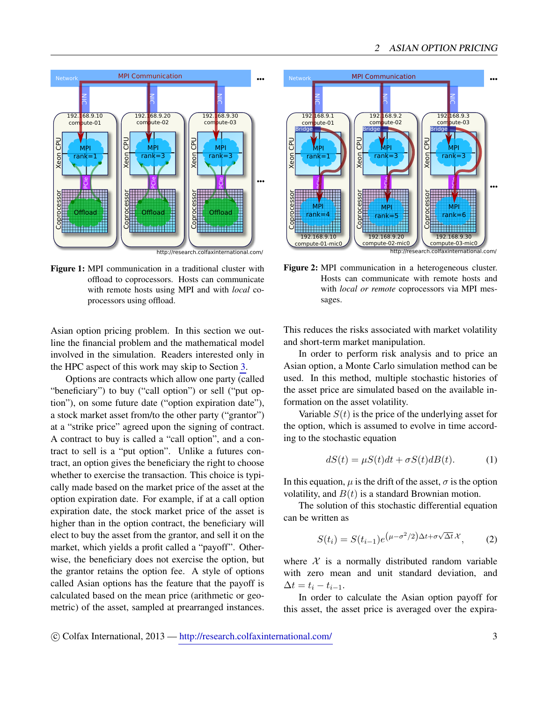<span id="page-2-0"></span>

Figure 1: MPI communication in a traditional cluster with offload to coprocessors. Hosts can communicate with remote hosts using MPI and with *local* coprocessors using offload.

Asian option pricing problem. In this section we outline the financial problem and the mathematical model involved in the simulation. Readers interested only in the HPC aspect of this work may skip to Section [3.](#page-3-0)

Options are contracts which allow one party (called "beneficiary") to buy ("call option") or sell ("put option"), on some future date ("option expiration date"), a stock market asset from/to the other party ("grantor") at a "strike price" agreed upon the signing of contract. A contract to buy is called a "call option", and a contract to sell is a "put option". Unlike a futures contract, an option gives the beneficiary the right to choose whether to exercise the transaction. This choice is typically made based on the market price of the asset at the option expiration date. For example, if at a call option expiration date, the stock market price of the asset is higher than in the option contract, the beneficiary will elect to buy the asset from the grantor, and sell it on the market, which yields a profit called a "payoff". Otherwise, the beneficiary does not exercise the option, but the grantor retains the option fee. A style of options called Asian options has the feature that the payoff is calculated based on the mean price (arithmetic or geo-**Example at a contract to the asset of the asset of the asset of the asset of the asset of the asset of the asset of the asset of the asset of the asset of the asset of the asset of the asset of the asset of the asset of** 

<span id="page-2-1"></span>

Figure 2: MPI communication in a heterogeneous cluster. Hosts can communicate with remote hosts and with *local or remote* coprocessors via MPI messages.

This reduces the risks associated with market volatility and short-term market manipulation.

In order to perform risk analysis and to price an Asian option, a Monte Carlo simulation method can be used. In this method, multiple stochastic histories of the asset price are simulated based on the available information on the asset volatility.

Variable  $S(t)$  is the price of the underlying asset for the option, which is assumed to evolve in time according to the stochastic equation

$$
dS(t) = \mu S(t)dt + \sigma S(t)dB(t).
$$
 (1)

In this equation,  $\mu$  is the drift of the asset,  $\sigma$  is the option volatility, and  $B(t)$  is a standard Brownian motion.

The solution of this stochastic differential equation can be written as

<span id="page-2-2"></span>
$$
S(t_i) = S(t_{i-1})e^{(\mu - \sigma^2/2)\Delta t + \sigma\sqrt{\Delta t}}x,
$$
 (2)

where  $X$  is a normally distributed random variable with zero mean and unit standard deviation, and  $\Delta t = t_i - t_{i-1}.$ 

In order to calculate the Asian option payoff for this asset, the asset price is averaged over the expira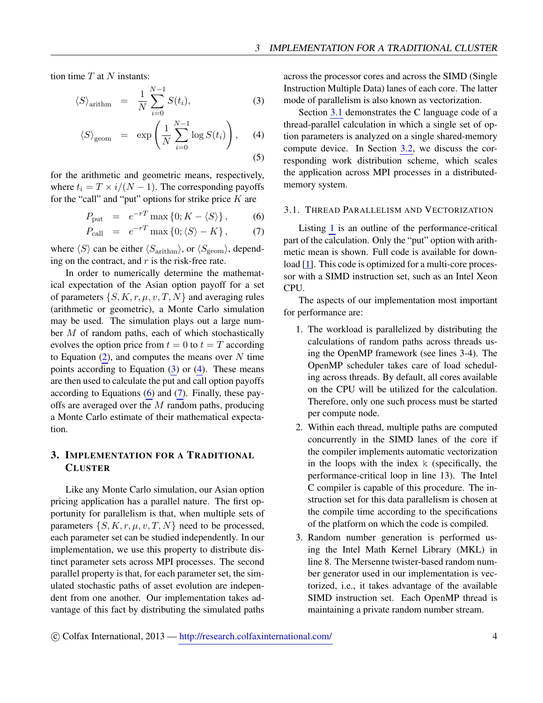tion time  $T$  at  $N$  instants:

<span id="page-3-2"></span>
$$
\langle S \rangle_{\text{arithm}} = \frac{1}{N} \sum_{i=0}^{N-1} S(t_i), \tag{3}
$$

$$
\langle S \rangle_{\text{geom}} = \exp \left( \frac{1}{N} \sum_{i=0}^{N-1} \log S(t_i) \right), \quad (4)
$$

(5)

for the arithmetic and geometric means, respectively, where  $t_i = T \times i/(N-1)$ . The corresponding payoffs for the "call" and "put" options for strike price  $K$  are

<span id="page-3-3"></span>
$$
P_{\text{put}} = e^{-rT} \max\left\{0; K - \langle S \rangle\right\},\qquad(6)
$$

$$
P_{\text{call}} = e^{-rT} \max \{0; \langle S \rangle - K \}, \tag{7}
$$

where  $\langle S \rangle$  can be either  $\langle S_{\text{arithm}} \rangle$ , or  $\langle S_{\text{geom}} \rangle$ , depending on the contract, and  $r$  is the risk-free rate.

In order to numerically determine the mathematical expectation of the Asian option payoff for a set of parameters  $\{S, K, r, \mu, v, T, N\}$  and averaging rules (arithmetic or geometric), a Monte Carlo simulation may be used. The simulation plays out a large number  $M$  of random paths, each of which stochastically evolves the option price from  $t = 0$  to  $t = T$  according to Equation  $(2)$ , and computes the means over N time points according to Equation  $(3)$  or  $(4)$ . These means are then used to calculate the put and call option payoffs according to Equations [\(6\)](#page-3-3) and [\(7\)](#page-3-3). Finally, these payoffs are averaged over the  $M$  random paths, producing a Monte Carlo estimate of their mathematical expectation.

## <span id="page-3-0"></span>3. IMPLEMENTATION FOR A TRADITIONAL **CLUSTER**

Like any Monte Carlo simulation, our Asian option pricing application has a parallel nature. The first opportunity for parallelism is that, when multiple sets of parameters  $\{S, K, r, \mu, v, T, N\}$  need to be processed, each parameter set can be studied independently. In our implementation, we use this property to distribute distinct parameter sets across MPI processes. The second parallel property is that, for each parameter set, the simulated stochastic paths of asset evolution are independent from one another. Our implementation takes advantage of this fact by distributing the simulated paths

across the processor cores and across the SIMD (Single Instruction Multiple Data) lanes of each core. The latter mode of parallelism is also known as vectorization.

Section [3.1](#page-3-1) demonstrates the C language code of a thread-parallel calculation in which a single set of option parameters is analyzed on a single shared-memory compute device. In Section [3.2,](#page-4-0) we discuss the corresponding work distribution scheme, which scales the application across MPI processes in a distributedmemory system.

### <span id="page-3-1"></span>3.1. THREAD PARALLELISM AND VECTORIZATION

Listing [1](#page-4-1) is an outline of the performance-critical part of the calculation. Only the "put" option with arithmetic mean is shown. Full code is available for download [\[1\]](#page-13-1). This code is optimized for a multi-core processor with a SIMD instruction set, such as an Intel Xeon CPU.

The aspects of our implementation most important for performance are:

- 1. The workload is parallelized by distributing the calculations of random paths across threads using the OpenMP framework (see lines 3-4). The OpenMP scheduler takes care of load scheduling across threads. By default, all cores available on the CPU will be utilized for the calculation. Therefore, only one such process must be started per compute node.
- 2. Within each thread, multiple paths are computed concurrently in the SIMD lanes of the core if the compiler implements automatic vectorization in the loops with the index  $k$  (specifically, the performance-critical loop in line 13). The Intel C compiler is capable of this procedure. The instruction set for this data parallelism is chosen at the compile time according to the specifications of the platform on which the code is compiled.
- 3. Random number generation is performed using the Intel Math Kernel Library (MKL) in line 8. The Mersenne twister-based random number generator used in our implementation is vectorized, i.e., it takes advantage of the available SIMD instruction set. Each OpenMP thread is maintaining a private random number stream.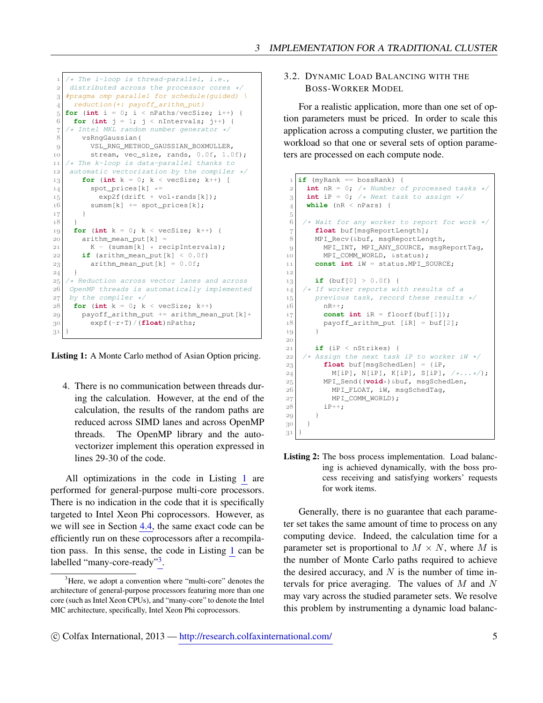```
 /* The i-loop is thread-parallel, i.e.,
    distributed across the processor cores */
 3 #pragma omp parallel for schedule(quided) \
      reduction(+: payoff_arithm_put)
 5 \vert for (int i = 0; i < nPaths/vecSize; i++) {
 6 for (int j = 1; j < nIntervals; j^{++}) {
    /* Intel MKL random number generator */
        vsRngGaussian(
9 VSL_RNG_METHOD_GAUSSIAN_BOXMULLER,
10 stream, vec_size, rands, 0.0f, 1.0f);
11 /* The k-loop is data-parallel thanks to
12 automatic vectorization by the compiler */\begin{bmatrix} 13 \end{bmatrix} for (int k = 0; k < vecSize; k++) [
14 spot_prices[k] \star=15 exp2f(drift + vol*rands[k]);<br>16 summ[k] += spot prices[k]:
         sumsm[k] += spot_prices[k];
|17| }
18
f(x) = \int_0^x \frac{\sinh(k)}{k} = 0; k < \text{vecSize}; k+1|20| arithm_mean_put [k] =
21 | K - (sums(m) * recipIntervals);|22| if (arithm_mean_put[k] < 0.0f)
23 arithm_mean_put [k] = 0.0f;
24 \mid \cdot \}25 /* Reduction across vector lanes and across
26 OpenMP threads is automatically implemented
27 by the compiler */<br>28 for (int k = 0; k
    for (int k = 0; k < vecSize; k++)
20 payoff arithm put += arithm mean put[k] * expf(-r*T)/(float)nPaths;
 }
```
Listing 1: A Monte Carlo method of Asian Option pricing.

4. There is no communication between threads during the calculation. However, at the end of the calculation, the results of the random paths are reduced across SIMD lanes and across OpenMP threads. The OpenMP library and the autovectorizer implement this operation expressed in lines 29-30 of the code.

All optimizations in the code in Listing [1](#page-4-1) are performed for general-purpose multi-core processors. There is no indication in the code that it is specifically targeted to Intel Xeon Phi coprocessors. However, as we will see in Section [4.4,](#page-8-1) the same exact code can be efficiently run on these coprocessors after a recompilation pass. In this sense, the code in Listing [1](#page-4-1) can be labelled "many-core-ready"<sup>[3](#page-4-2)</sup>.

### <span id="page-4-0"></span>3.2. DYNAMIC LOAD BALANCING WITH THE BOSS-WORKER MODEL

For a realistic application, more than one set of option parameters must be priced. In order to scale this application across a computing cluster, we partition the workload so that one or several sets of option parameters are processed on each compute node.

```
 if (myRank == bossRank) {
 2 \mid int nR = 0; /* Number of processed tasks */
  int iP = 0; /* Next task to assign */
 \frac{1}{4} while (nR < nPars) {
 \rm 5\begin{array}{c} 6 \end{array} /* Wait for any worker to report for work */<br>
float buf[msgReportLength];
         float buf[msgReportLength];
 8 MPI_Recv(&buf, msgReportLength,
 MPI_INT, MPI_ANY_SOURCE, msgReportTag,
10 MPI_COMM_WORLD, & status);
 const int iW = status.MPI_SOURCE;
\frac{1}{2} if (buf[0] > 0.0f) {
14 /* If worker reports with results of a
15 previous task, record these results */ 16 nR++:
           nR++;
17 const int iR = floorf(buf[1]);
18 payoff_arithm_put [iR] = buf[2];
19 }
\overline{20} if (iP < nStrikes) {
22 \left| \begin{array}{c} \n\sqrt{\ast} & \text{Assign the next task if } \text{to worker if } \sqrt{\ast} \\
23 \n\end{array} \right| float buf[msgSchedLen] = {iP,
\begin{array}{c} \text{N} \\ 24 \end{array} M[iP], N[iP], K[iP], S[iP], /*...*/};
25 MPI_Send((void*)&buf, msgSchedLen,<br>26 MPI FLOAT. iW. msgSchedTag.
             MPI_FLOAT, iW, msgSchedTag,
27 MPI_COMM_WORLD);
 iP++;
29 }
30 }
 }
```
Listing 2: The boss process implementation. Load balancing is achieved dynamically, with the boss process receiving and satisfying workers' requests for work items.

Generally, there is no guarantee that each parameter set takes the same amount of time to process on any computing device. Indeed, the calculation time for a parameter set is proportional to  $M \times N$ , where M is the number of Monte Carlo paths required to achieve the desired accuracy, and  $N$  is the number of time intervals for price averaging. The values of  $M$  and  $N$ may vary across the studied parameter sets. We resolve this problem by instrumenting a dynamic load balanc-

<span id="page-4-2"></span><sup>&</sup>lt;sup>3</sup>Here, we adopt a convention where "multi-core" denotes the architecture of general-purpose processors featuring more than one core (such as Intel Xeon CPUs), and "many-core" to denote the Intel MIC architecture, specifically, Intel Xeon Phi coprocessors.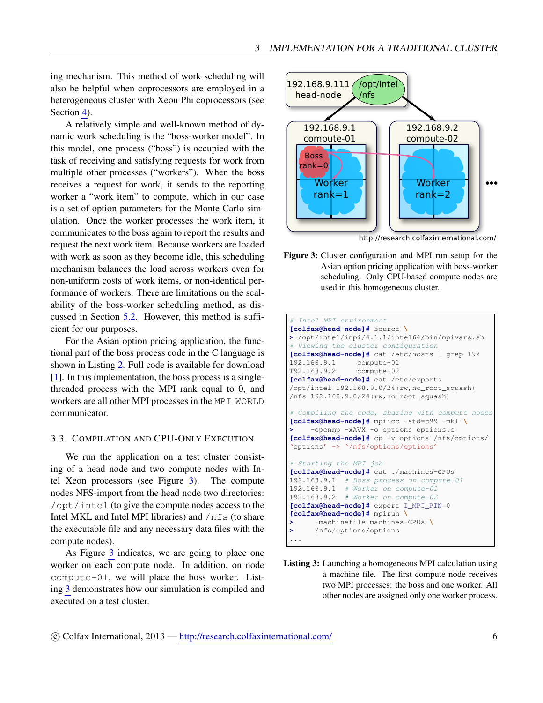ing mechanism. This method of work scheduling will also be helpful when coprocessors are employed in a heterogeneous cluster with Xeon Phi coprocessors (see Section [4\)](#page-6-0).

A relatively simple and well-known method of dynamic work scheduling is the "boss-worker model". In this model, one process ("boss") is occupied with the task of receiving and satisfying requests for work from multiple other processes ("workers"). When the boss receives a request for work, it sends to the reporting worker a "work item" to compute, which in our case is a set of option parameters for the Monte Carlo simulation. Once the worker processes the work item, it communicates to the boss again to report the results and request the next work item. Because workers are loaded with work as soon as they become idle, this scheduling mechanism balances the load across workers even for non-uniform costs of work items, or non-identical performance of workers. There are limitations on the scalability of the boss-worker scheduling method, as discussed in Section [5.2.](#page-10-0) However, this method is sufficient for our purposes.

For the Asian option pricing application, the functional part of the boss process code in the C language is shown in Listing [2.](#page-4-3) Full code is available for download [\[1\]](#page-13-1). In this implementation, the boss process is a singlethreaded process with the MPI rank equal to 0, and workers are all other MPI processes in the MPI\_WORLD communicator.

## <span id="page-5-0"></span>3.3. COMPILATION AND CPU-ONLY EXECUTION

We run the application on a test cluster consisting of a head node and two compute nodes with Intel Xeon processors (see Figure [3\)](#page-5-1). The compute nodes NFS-import from the head node two directories: /opt/intel (to give the compute nodes access to the Intel MKL and Intel MPI libraries) and /nfs (to share the executable file and any necessary data files with the compute nodes).

As Figure [3](#page-5-1) indicates, we are going to place one worker on each compute node. In addition, on node compute-01, we will place the boss worker. Listing [3](#page-5-2) demonstrates how our simulation is compiled and executed on a test cluster.

<span id="page-5-1"></span>

http://research.colfaxinternational.com/

Figure 3: Cluster configuration and MPI run setup for the Asian option pricing application with boss-worker scheduling. Only CPU-based compute nodes are used in this homogeneous cluster.

```
Intel MPI environment
[colfax@head-node]# source \
> /opt/intel/impi/4.1.1/intel64/bin/mpivars.sh
# Viewing the cluster configuration
[colfax@head-node]# cat /etc/hosts | grep 192
192.168.9.1 compute-01
192.168.9.2 compute-02
[colfax@head-node]# cat /etc/exports
/opt/intel 192.168.9.0/24(rw,no_root_squash)
/nfs 192.168.9.0/24(rw,no_root_squash)
# Compiling the code, sharing with compute nodes
[colfax@head-node]# mpiicc -std=c99 -mkl \
    > -openmp -xAVX -o options options.c
[colfax@head-node]# cp -v options /nfs/options/
'options' -> '/nfs/options/options'
# Starting the MPI job
[colfax@head-node]# cat ./machines-CPUs
192.168.9.1 # Boss process on compute-01
192.168.9.1 # Worker on compute-01
192.168.9.2 # Worker on compute-02
[colfax@head-node]# export I_MPI_PIN=0
[colfax@head-node]# mpirun \
> -machinefile machines-CPUs \
> /nfs/options/options
...
```
Listing 3: Launching a homogeneous MPI calculation using a machine file. The first compute node receives two MPI processes: the boss and one worker. All other nodes are assigned only one worker process.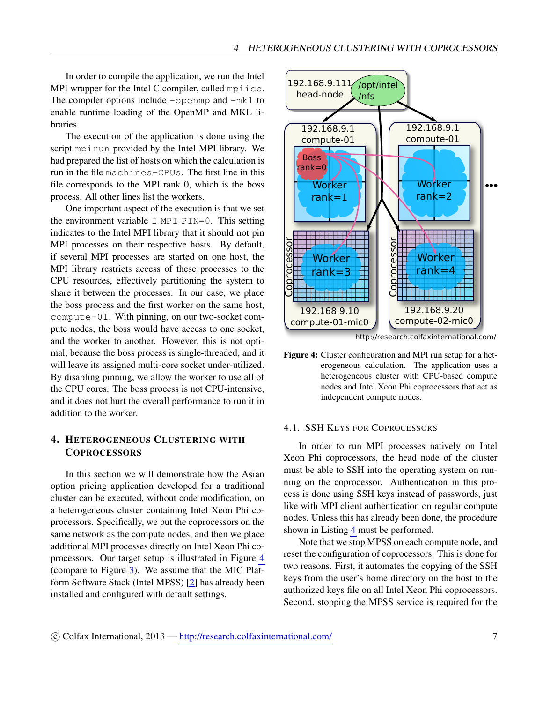In order to compile the application, we run the Intel MPI wrapper for the Intel C compiler, called mpiicc. The compiler options include  $-\text{openmp}$  and  $-\text{mk} \perp \text{to}$ enable runtime loading of the OpenMP and MKL libraries.

The execution of the application is done using the script mpirun provided by the Intel MPI library. We had prepared the list of hosts on which the calculation is run in the file machines-CPUs. The first line in this file corresponds to the MPI rank 0, which is the boss process. All other lines list the workers.

One important aspect of the execution is that we set the environment variable  $I_MPI_PIN=0$ . This setting indicates to the Intel MPI library that it should not pin MPI processes on their respective hosts. By default, if several MPI processes are started on one host, the MPI library restricts access of these processes to the CPU resources, effectively partitioning the system to share it between the processes. In our case, we place the boss process and the first worker on the same host, compute-01. With pinning, on our two-socket compute nodes, the boss would have access to one socket, and the worker to another. However, this is not optimal, because the boss process is single-threaded, and it will leave its assigned multi-core socket under-utilized. By disabling pinning, we allow the worker to use all of the CPU cores. The boss process is not CPU-intensive, and it does not hurt the overall performance to run it in addition to the worker.

## <span id="page-6-0"></span>4. HETEROGENEOUS CLUSTERING WITH **COPROCESSORS**

In this section we will demonstrate how the Asian option pricing application developed for a traditional cluster can be executed, without code modification, on a heterogeneous cluster containing Intel Xeon Phi coprocessors. Specifically, we put the coprocessors on the same network as the compute nodes, and then we place additional MPI processes directly on Intel Xeon Phi coprocessors. Our target setup is illustrated in Figure [4](#page-6-2) (compare to Figure [3\)](#page-5-1). We assume that the MIC Platform Software Stack (Intel MPSS) [\[2\]](#page-13-2) has already been installed and configured with default settings.

<span id="page-6-2"></span>

http://research.colfaxinternational.com/

Figure 4: Cluster configuration and MPI run setup for a heterogeneous calculation. The application uses a heterogeneous cluster with CPU-based compute nodes and Intel Xeon Phi coprocessors that act as independent compute nodes.

#### <span id="page-6-1"></span>4.1. SSH KEYS FOR COPROCESSORS

In order to run MPI processes natively on Intel Xeon Phi coprocessors, the head node of the cluster must be able to SSH into the operating system on running on the coprocessor. Authentication in this process is done using SSH keys instead of passwords, just like with MPI client authentication on regular compute nodes. Unless this has already been done, the procedure shown in Listing [4](#page-7-1) must be performed.

Note that we stop MPSS on each compute node, and reset the configuration of coprocessors. This is done for two reasons. First, it automates the copying of the SSH keys from the user's home directory on the host to the authorized keys file on all Intel Xeon Phi coprocessors. Second, stopping the MPSS service is required for the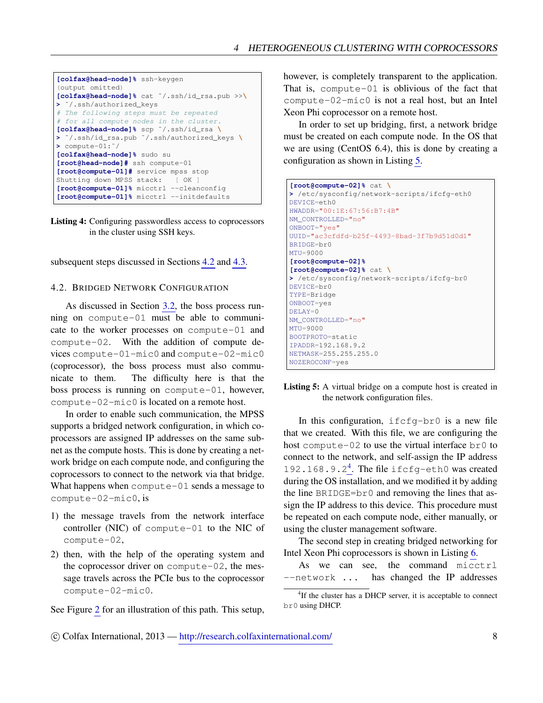```
[colfax@head-node]% ssh-keygen
(output omitted)
[colfax@head-node]% cat ˜/.ssh/id_rsa.pub >>\
> ˜/.ssh/authorized_keys
# The following steps must be repeated
# for all compute nodes in the cluster.
[colfax@head-node]% scp ˜/.ssh/id_rsa \
> ˜/.ssh/id_rsa.pub ˜/.ssh/authorized_keys \
> compute-01:˜/
[colfax@head-node]% sudo su
[root@head-node]# ssh compute-01
[root@compute-01]# service mpss stop
Shutting down MPSS stack: [ OK ]
[root@compute-01]% micctrl --cleanconfig
[root@compute-01]% micctrl --initdefaults
```


subsequent steps discussed in Sections [4.2](#page-7-0) and [4.3.](#page-8-0)

#### <span id="page-7-0"></span>4.2. BRIDGED NETWORK CONFIGURATION

As discussed in Section [3.2,](#page-4-0) the boss process running on compute-01 must be able to communicate to the worker processes on compute-01 and compute-02. With the addition of compute devices compute-01-mic0 and compute-02-mic0 (coprocessor), the boss process must also communicate to them. The difficulty here is that the boss process is running on compute-01, however, compute-02-mic0 is located on a remote host.

In order to enable such communication, the MPSS supports a bridged network configuration, in which coprocessors are assigned IP addresses on the same subnet as the compute hosts. This is done by creating a network bridge on each compute node, and configuring the coprocessors to connect to the network via that bridge. What happens when compute-01 sends a message to compute-02-mic0, is

- 1) the message travels from the network interface controller (NIC) of compute-01 to the NIC of compute-02,
- 2) then, with the help of the operating system and the coprocessor driver on compute-02, the message travels across the PCIe bus to the coprocessor compute-02-mic0.

See Figure [2](#page-2-1) for an illustration of this path. This setup,

however, is completely transparent to the application. That is, compute-01 is oblivious of the fact that compute-02-mic0 is not a real host, but an Intel Xeon Phi coprocessor on a remote host.

In order to set up bridging, first, a network bridge must be created on each compute node. In the OS that we are using (CentOS 6.4), this is done by creating a configuration as shown in Listing [5.](#page-7-2)

```
[root@compute-02]% cat \
> /etc/sysconfig/network-scripts/ifcfg-eth0
DEVICE=eth0
HWADDR="00:1E:67:56:B7:4B"
NM_CONTROLLED="no"
ONBOOT="yes"
UUID="ac3cfdfd-b25f-4493-8bad-3f7b9d51d0d1"
BRIDGE=br0
MTU=9000
[root@compute-02]%
[root@compute-02]% cat \
> /etc/sysconfig/network-scripts/ifcfg-br0
DEVICE=br0
TYPE=Bridge
ONBOOT=yes
DELAY=0
NM_CONTROLLED="no"
MTU=9000
BOOTPROTO=static
IPADDR=192.168.9.2
NETMASK=255.255.255.0
NOZEROCONF=yes
```
Listing 5: A virtual bridge on a compute host is created in the network configuration files.

In this configuration,  $ifcfq-br0$  is a new file that we created. With this file, we are configuring the host compute-02 to use the virtual interface br0 to connect to the network, and self-assign the IP address 192.168.9.2<sup>[4](#page-7-3)</sup>. The file ifcfg-eth0 was created during the OS installation, and we modified it by adding the line BRIDGE=br0 and removing the lines that assign the IP address to this device. This procedure must be repeated on each compute node, either manually, or using the cluster management software.

The second step in creating bridged networking for Intel Xeon Phi coprocessors is shown in Listing [6.](#page-8-2)

As we can see, the command micctrl --network ... has changed the IP addresses

<span id="page-7-3"></span><sup>&</sup>lt;sup>4</sup>If the cluster has a DHCP server, it is acceptable to connect br0 using DHCP.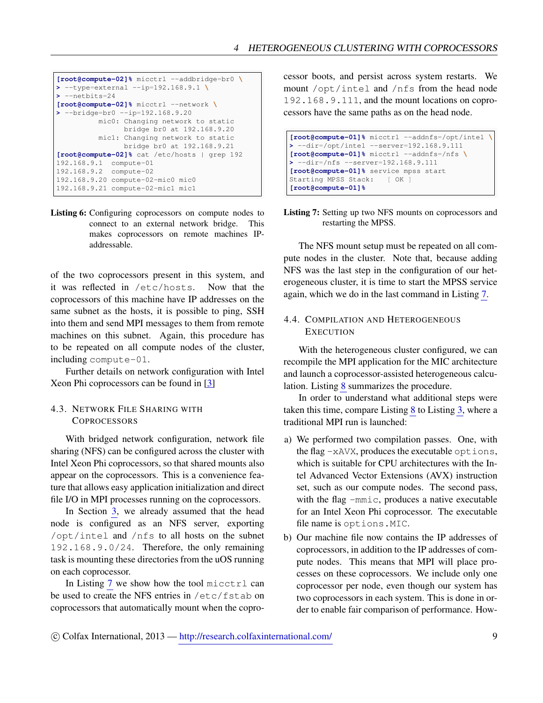```
[root@compute-02]% micctrl --addbridge=br0 \
> --type=external --ip=192.168.9.1 \
> --netbits=24
[root@compute-02]% micctrl --network \
> --bridge=br0 --ip=192.168.9.20
         mic0: Changing network to static
               bridge br0 at 192.168.9.20
          mic1: Changing network to static
               bridge br0 at 192.168.9.21
[root@compute-02]% cat /etc/hosts | grep 192
192.168.9.1 compute-01
192.168.9.2 compute-02
192.168.9.20 compute-02-mic0 mic0
192.168.9.21 compute-02-mic1 mic1
```
Listing 6: Configuring coprocessors on compute nodes to connect to an external network bridge. This makes coprocessors on remote machines IPaddressable.

of the two coprocessors present in this system, and it was reflected in /etc/hosts. Now that the coprocessors of this machine have IP addresses on the same subnet as the hosts, it is possible to ping, SSH into them and send MPI messages to them from remote machines on this subnet. Again, this procedure has to be repeated on all compute nodes of the cluster, including compute-01.

Further details on network configuration with Intel Xeon Phi coprocessors can be found in [\[3\]](#page-13-3)

## <span id="page-8-0"></span>4.3. NETWORK FILE SHARING WITH **COPROCESSORS**

With bridged network configuration, network file sharing (NFS) can be configured across the cluster with Intel Xeon Phi coprocessors, so that shared mounts also appear on the coprocessors. This is a convenience feature that allows easy application initialization and direct file I/O in MPI processes running on the coprocessors.

In Section [3,](#page-3-0) we already assumed that the head node is configured as an NFS server, exporting /opt/intel and /nfs to all hosts on the subnet 192.168.9.0/24. Therefore, the only remaining task is mounting these directories from the uOS running on each coprocessor.

In Listing [7](#page-8-3) we show how the tool micctrl can be used to create the NFS entries in /etc/fstab on coprocessors that automatically mount when the coprocessor boots, and persist across system restarts. We mount /opt/intel and /nfs from the head node 192.168.9.111, and the mount locations on coprocessors have the same paths as on the head node.

<span id="page-8-3"></span>

Listing 7: Setting up two NFS mounts on coprocessors and restarting the MPSS.

The NFS mount setup must be repeated on all compute nodes in the cluster. Note that, because adding NFS was the last step in the configuration of our heterogeneous cluster, it is time to start the MPSS service again, which we do in the last command in Listing [7.](#page-8-3)

## <span id="page-8-1"></span>4.4. COMPILATION AND HETEROGENEOUS **EXECUTION**

With the heterogeneous cluster configured, we can recompile the MPI application for the MIC architecture and launch a coprocessor-assisted heterogeneous calculation. Listing [8](#page-9-2) summarizes the procedure.

In order to understand what additional steps were taken this time, compare Listing [8](#page-9-2) to Listing [3,](#page-5-2) where a traditional MPI run is launched:

- a) We performed two compilation passes. One, with the flag -xAVX, produces the executable options, which is suitable for CPU architectures with the Intel Advanced Vector Extensions (AVX) instruction set, such as our compute nodes. The second pass, with the flag -mmic, produces a native executable for an Intel Xeon Phi coprocessor. The executable file name is options.MIC.
- b) Our machine file now contains the IP addresses of coprocessors, in addition to the IP addresses of compute nodes. This means that MPI will place processes on these coprocessors. We include only one coprocessor per node, even though our system has two coprocessors in each system. This is done in order to enable fair comparison of performance. How-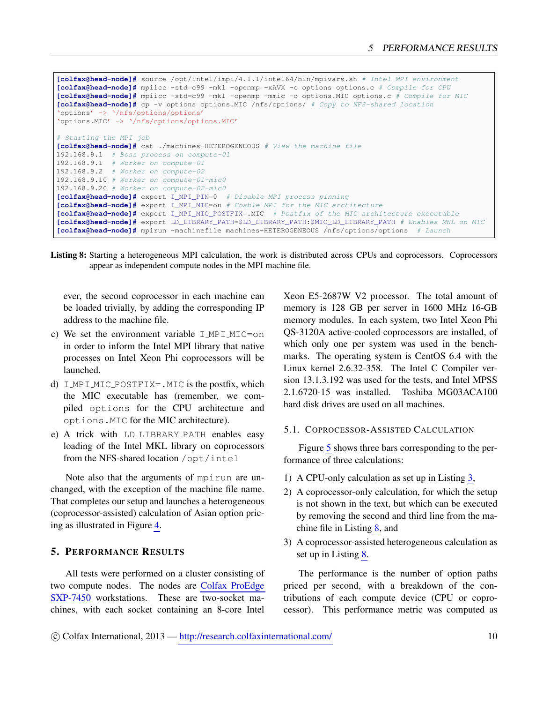```
[colfax@head-node]# source /opt/intel/impi/4.1.1/intel64/bin/mpivars.sh # Intel MPI environment
[colfax@head-node]# mpiicc -std=c99 -mkl -openmp -xAVX -o options options.c # Compile for CPU
[colfax@head-node]# mpiicc -std=c99 -mkl -openmp -mmic -o options.MIC options.c # Compile for MIC
[colfax@head-node]# cp -v options options.MIC /nfs/options/ # Copy to NFS-shared location
'options' -> '/nfs/options/options'
'options.MIC' -> '/nfs/options/options.MIC'
# Starting the MPI job
[colfax@head-node]# cat ./machines-HETEROGENEOUS # View the machine file
192.168.9.1 # Boss process on compute-01
192.168.9.1 # Worker on compute-01
192.168.9.2 # Worker on compute-02
192.168.9.10 # Worker on compute-01-mic0
192.168.9.20 # Worker on compute-02-mic0
[colfax@head-node]# export I_MPI_PIN=0 # Disable MPI process pinning
[colfax@head-node]# export I_MPI_MIC=on # Enable MPI for the MIC architecture
[colfax@head-node]# export I_MPI_MIC_POSTFIX=.MIC # Postfix of the MIC architecture executable
[colfax@head-node]# export LD_LIBRARY_PATH=$LD_LIBRARY_PATH:$MIC_LD_LIBRARY_PATH # Enables MKL on MIC
[colfax@head-node]# mpirun -machinefile machines-HETEROGENEOUS /nfs/options/options # Launch
```
Listing 8: Starting a heterogeneous MPI calculation, the work is distributed across CPUs and coprocessors. Coprocessors appear as independent compute nodes in the MPI machine file.

ever, the second coprocessor in each machine can be loaded trivially, by adding the corresponding IP address to the machine file.

- c) We set the environment variable  $IMPIMIC=on$ in order to inform the Intel MPI library that native processes on Intel Xeon Phi coprocessors will be launched.
- d) I MPI MIC POSTFIX=. MIC is the postfix, which the MIC executable has (remember, we compiled options for the CPU architecture and options.MIC for the MIC architecture).
- e) A trick with LD LIBRARY PATH enables easy loading of the Intel MKL library on coprocessors from the NFS-shared location /opt/intel

Note also that the arguments of mpirun are unchanged, with the exception of the machine file name. That completes our setup and launches a heterogeneous (coprocessor-assisted) calculation of Asian option pricing as illustrated in Figure [4.](#page-6-2)

## <span id="page-9-0"></span>5. PERFORMANCE RESULTS

All tests were performed on a cluster consisting of two compute nodes. The nodes are [Colfax ProEdge](http://www.colfax-intl.com/nd/workstations/sxp7450.aspx) [SXP-7450](http://www.colfax-intl.com/nd/workstations/sxp7450.aspx) workstations. These are two-socket machines, with each socket containing an 8-core Intel

Xeon E5-2687W V2 processor. The total amount of memory is 128 GB per server in 1600 MHz 16-GB memory modules. In each system, two Intel Xeon Phi QS-3120A active-cooled coprocessors are installed, of which only one per system was used in the benchmarks. The operating system is CentOS 6.4 with the Linux kernel 2.6.32-358. The Intel C Compiler version 13.1.3.192 was used for the tests, and Intel MPSS 2.1.6720-15 was installed. Toshiba MG03ACA100 hard disk drives are used on all machines.

#### <span id="page-9-1"></span>5.1. COPROCESSOR-ASSISTED CALCULATION

Figure [5](#page-10-1) shows three bars corresponding to the performance of three calculations:

- 1) A CPU-only calculation as set up in Listing [3,](#page-5-2)
- 2) A coprocessor-only calculation, for which the setup is not shown in the text, but which can be executed by removing the second and third line from the machine file in Listing [8,](#page-9-2) and
- 3) A coprocessor-assisted heterogeneous calculation as set up in Listing [8.](#page-9-2)

The performance is the number of option paths priced per second, with a breakdown of the contributions of each compute device (CPU or coprocessor). This performance metric was computed as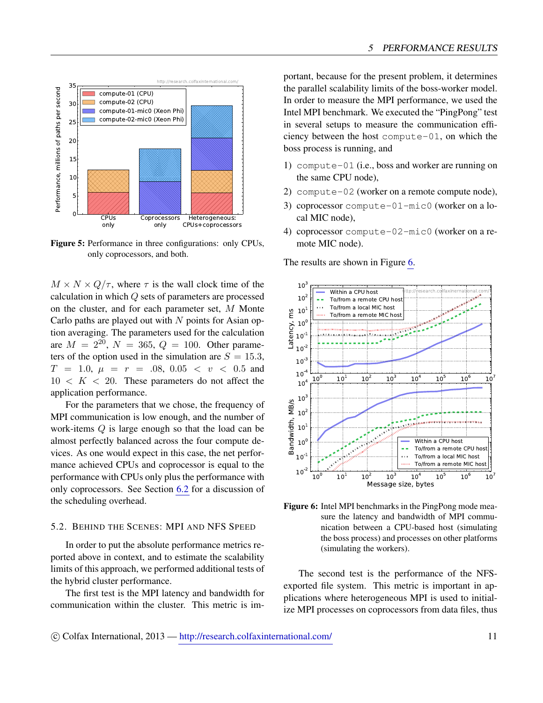<span id="page-10-1"></span>

Figure 5: Performance in three configurations: only CPUs, only coprocessors, and both.

 $M \times N \times Q/\tau$ , where  $\tau$  is the wall clock time of the calculation in which Q sets of parameters are processed on the cluster, and for each parameter set, M Monte Carlo paths are played out with  $N$  points for Asian option averaging. The parameters used for the calculation are  $M = 2^{20}$ ,  $N = 365$ ,  $Q = 100$ . Other parameters of the option used in the simulation are  $S = 15.3$ ,  $T = 1.0, \mu = r = .08, 0.05 < v < 0.5$  and  $10 \lt K \lt 20$ . These parameters do not affect the application performance.

For the parameters that we chose, the frequency of MPI communication is low enough, and the number of work-items Q is large enough so that the load can be almost perfectly balanced across the four compute devices. As one would expect in this case, the net performance achieved CPUs and coprocessor is equal to the performance with CPUs only plus the performance with only coprocessors. See Section [6.2](#page-12-0) for a discussion of the scheduling overhead.

#### <span id="page-10-0"></span>5.2. BEHIND THE SCENES: MPI AND NFS SPEED

In order to put the absolute performance metrics reported above in context, and to estimate the scalability limits of this approach, we performed additional tests of the hybrid cluster performance.

The first test is the MPI latency and bandwidth for communication within the cluster. This metric is im-

portant, because for the present problem, it determines the parallel scalability limits of the boss-worker model. In order to measure the MPI performance, we used the Intel MPI benchmark. We executed the "PingPong" test in several setups to measure the communication efficiency between the host compute-01, on which the boss process is running, and

- 1) compute-01 (i.e., boss and worker are running on the same CPU node),
- 2) compute-02 (worker on a remote compute node),
- 3) coprocessor compute-01-mic0 (worker on a local MIC node),
- 4) coprocessor compute-02-mic0 (worker on a remote MIC node).

The results are shown in Figure [6.](#page-10-2)

<span id="page-10-2"></span>

Figure 6: Intel MPI benchmarks in the PingPong mode measure the latency and bandwidth of MPI communication between a CPU-based host (simulating the boss process) and processes on other platforms (simulating the workers).

The second test is the performance of the NFSexported file system. This metric is important in applications where heterogeneous MPI is used to initialize MPI processes on coprocessors from data files, thus

c Colfax International, 2013 — <http://research.colfaxinternational.com/> 11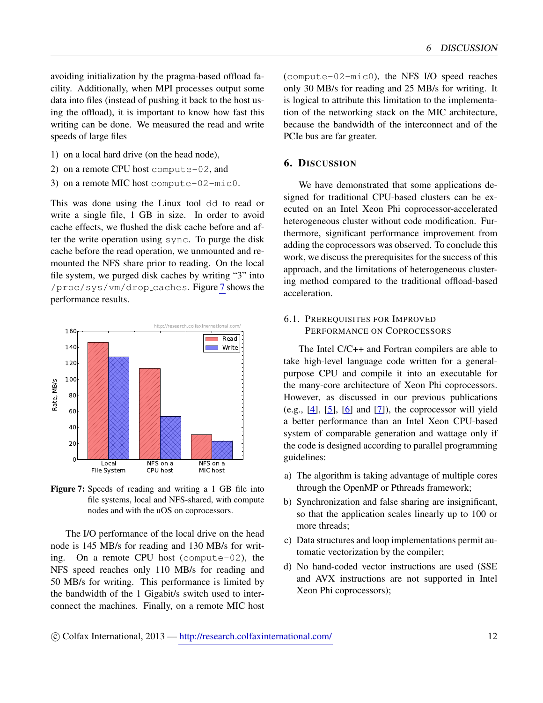avoiding initialization by the pragma-based offload facility. Additionally, when MPI processes output some data into files (instead of pushing it back to the host using the offload), it is important to know how fast this writing can be done. We measured the read and write speeds of large files

- 1) on a local hard drive (on the head node),
- 2) on a remote CPU host compute-02, and
- 3) on a remote MIC host compute-02-mic0.

This was done using the Linux tool dd to read or write a single file, 1 GB in size. In order to avoid cache effects, we flushed the disk cache before and after the write operation using sync. To purge the disk cache before the read operation, we unmounted and remounted the NFS share prior to reading. On the local file system, we purged disk caches by writing "3" into /proc/sys/vm/drop caches. Figure [7](#page-11-2) shows the performance results.

<span id="page-11-2"></span>

Figure 7: Speeds of reading and writing a 1 GB file into file systems, local and NFS-shared, with compute nodes and with the uOS on coprocessors.

The I/O performance of the local drive on the head node is 145 MB/s for reading and 130 MB/s for writing. On a remote CPU host (compute-02), the NFS speed reaches only 110 MB/s for reading and 50 MB/s for writing. This performance is limited by the bandwidth of the 1 Gigabit/s switch used to interconnect the machines. Finally, on a remote MIC host

(compute-02-mic0), the NFS I/O speed reaches only 30 MB/s for reading and 25 MB/s for writing. It is logical to attribute this limitation to the implementation of the networking stack on the MIC architecture, because the bandwidth of the interconnect and of the PCIe bus are far greater.

## <span id="page-11-0"></span>6. DISCUSSION

We have demonstrated that some applications designed for traditional CPU-based clusters can be executed on an Intel Xeon Phi coprocessor-accelerated heterogeneous cluster without code modification. Furthermore, significant performance improvement from adding the coprocessors was observed. To conclude this work, we discuss the prerequisites for the success of this approach, and the limitations of heterogeneous clustering method compared to the traditional offload-based acceleration.

## <span id="page-11-1"></span>6.1. PREREQUISITES FOR IMPROVED PERFORMANCE ON COPROCESSORS

The Intel C/C++ and Fortran compilers are able to take high-level language code written for a generalpurpose CPU and compile it into an executable for the many-core architecture of Xeon Phi coprocessors. However, as discussed in our previous publications (e.g.,  $[4]$ ,  $[5]$ ,  $[6]$  and  $[7]$ ), the coprocessor will yield a better performance than an Intel Xeon CPU-based system of comparable generation and wattage only if the code is designed according to parallel programming guidelines:

- a) The algorithm is taking advantage of multiple cores through the OpenMP or Pthreads framework;
- b) Synchronization and false sharing are insignificant, so that the application scales linearly up to 100 or more threads;
- c) Data structures and loop implementations permit automatic vectorization by the compiler;
- d) No hand-coded vector instructions are used (SSE and AVX instructions are not supported in Intel Xeon Phi coprocessors);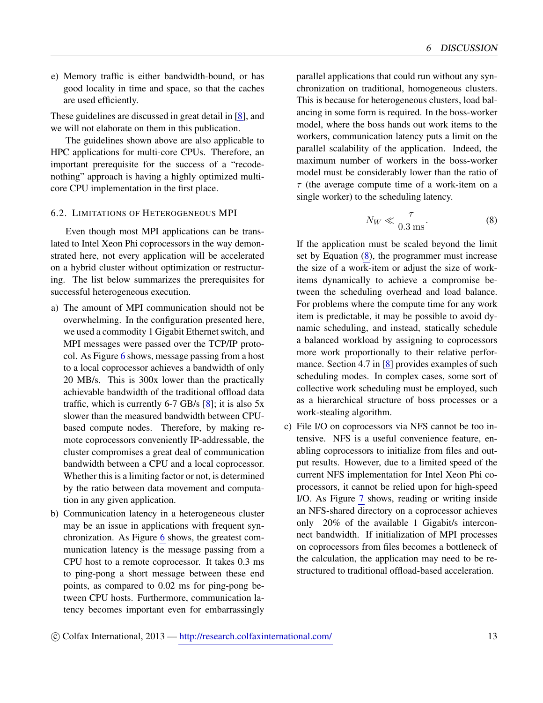e) Memory traffic is either bandwidth-bound, or has good locality in time and space, so that the caches are used efficiently.

These guidelines are discussed in great detail in [\[8\]](#page-13-8), and we will not elaborate on them in this publication.

The guidelines shown above are also applicable to HPC applications for multi-core CPUs. Therefore, an important prerequisite for the success of a "recodenothing" approach is having a highly optimized multicore CPU implementation in the first place.

#### <span id="page-12-0"></span>6.2. LIMITATIONS OF HETEROGENEOUS MPI

Even though most MPI applications can be translated to Intel Xeon Phi coprocessors in the way demonstrated here, not every application will be accelerated on a hybrid cluster without optimization or restructuring. The list below summarizes the prerequisites for successful heterogeneous execution.

- a) The amount of MPI communication should not be overwhelming. In the configuration presented here, we used a commodity 1 Gigabit Ethernet switch, and MPI messages were passed over the TCP/IP protocol. As Figure [6](#page-10-2) shows, message passing from a host to a local coprocessor achieves a bandwidth of only 20 MB/s. This is 300x lower than the practically achievable bandwidth of the traditional offload data traffic, which is currently  $6-7$  GB/s  $[8]$ ; it is also  $5x$ slower than the measured bandwidth between CPUbased compute nodes. Therefore, by making remote coprocessors conveniently IP-addressable, the cluster compromises a great deal of communication bandwidth between a CPU and a local coprocessor. Whether this is a limiting factor or not, is determined by the ratio between data movement and computation in any given application.
- b) Communication latency in a heterogeneous cluster may be an issue in applications with frequent synchronization. As Figure [6](#page-10-2) shows, the greatest communication latency is the message passing from a CPU host to a remote coprocessor. It takes 0.3 ms to ping-pong a short message between these end points, as compared to 0.02 ms for ping-pong between CPU hosts. Furthermore, communication latency becomes important even for embarrassingly

parallel applications that could run without any synchronization on traditional, homogeneous clusters. This is because for heterogeneous clusters, load balancing in some form is required. In the boss-worker model, where the boss hands out work items to the workers, communication latency puts a limit on the parallel scalability of the application. Indeed, the maximum number of workers in the boss-worker model must be considerably lower than the ratio of  $\tau$  (the average compute time of a work-item on a single worker) to the scheduling latency.

<span id="page-12-1"></span>
$$
N_W \ll \frac{\tau}{0.3 \text{ ms}}.\tag{8}
$$

If the application must be scaled beyond the limit set by Equation [\(8\)](#page-12-1), the programmer must increase the size of a work-item or adjust the size of workitems dynamically to achieve a compromise between the scheduling overhead and load balance. For problems where the compute time for any work item is predictable, it may be possible to avoid dynamic scheduling, and instead, statically schedule a balanced workload by assigning to coprocessors more work proportionally to their relative performance. Section 4.7 in [\[8\]](#page-13-8) provides examples of such scheduling modes. In complex cases, some sort of collective work scheduling must be employed, such as a hierarchical structure of boss processes or a work-stealing algorithm.

c) File I/O on coprocessors via NFS cannot be too intensive. NFS is a useful convenience feature, enabling coprocessors to initialize from files and output results. However, due to a limited speed of the current NFS implementation for Intel Xeon Phi coprocessors, it cannot be relied upon for high-speed I/O. As Figure [7](#page-11-2) shows, reading or writing inside an NFS-shared directory on a coprocessor achieves only 20% of the available 1 Gigabit/s interconnect bandwidth. If initialization of MPI processes on coprocessors from files becomes a bottleneck of the calculation, the application may need to be restructured to traditional offload-based acceleration.

c Colfax International, 2013 — <http://research.colfaxinternational.com/> 13